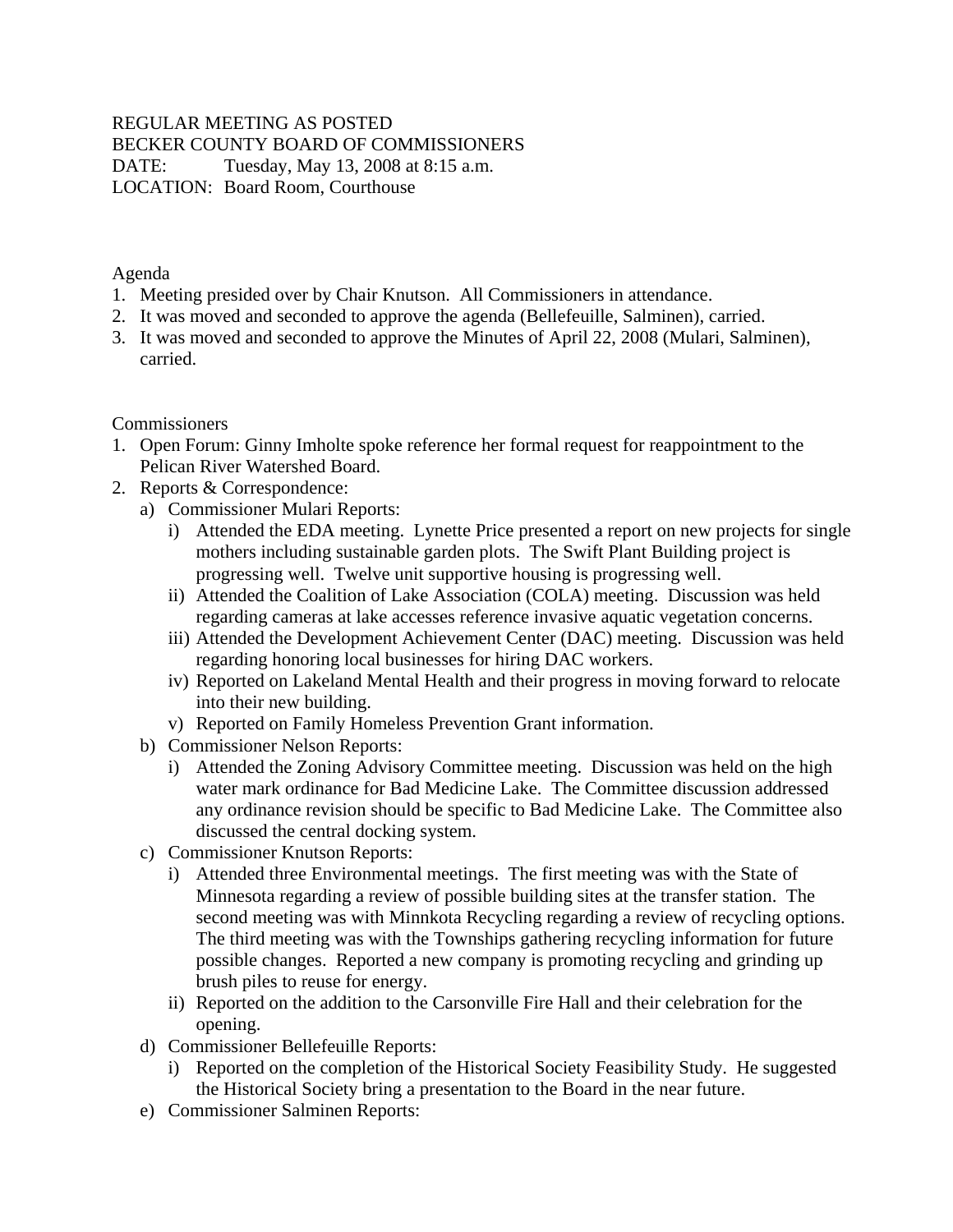#### REGULAR MEETING AS POSTED BECKER COUNTY BOARD OF COMMISSIONERS DATE: Tuesday, May 13, 2008 at 8:15 a.m. LOCATION: Board Room, Courthouse

Agenda

- 1. Meeting presided over by Chair Knutson. All Commissioners in attendance.
- 2. It was moved and seconded to approve the agenda (Bellefeuille, Salminen), carried.
- 3. It was moved and seconded to approve the Minutes of April 22, 2008 (Mulari, Salminen), carried.

Commissioners

- 1. Open Forum: Ginny Imholte spoke reference her formal request for reappointment to the Pelican River Watershed Board.
- 2. Reports & Correspondence:
	- a) Commissioner Mulari Reports:
		- i) Attended the EDA meeting. Lynette Price presented a report on new projects for single mothers including sustainable garden plots. The Swift Plant Building project is progressing well. Twelve unit supportive housing is progressing well.
		- ii) Attended the Coalition of Lake Association (COLA) meeting. Discussion was held regarding cameras at lake accesses reference invasive aquatic vegetation concerns.
		- iii) Attended the Development Achievement Center (DAC) meeting. Discussion was held regarding honoring local businesses for hiring DAC workers.
		- iv) Reported on Lakeland Mental Health and their progress in moving forward to relocate into their new building.
		- v) Reported on Family Homeless Prevention Grant information.
	- b) Commissioner Nelson Reports:
		- i) Attended the Zoning Advisory Committee meeting. Discussion was held on the high water mark ordinance for Bad Medicine Lake. The Committee discussion addressed any ordinance revision should be specific to Bad Medicine Lake. The Committee also discussed the central docking system.
	- c) Commissioner Knutson Reports:
		- i) Attended three Environmental meetings. The first meeting was with the State of Minnesota regarding a review of possible building sites at the transfer station. The second meeting was with Minnkota Recycling regarding a review of recycling options. The third meeting was with the Townships gathering recycling information for future possible changes. Reported a new company is promoting recycling and grinding up brush piles to reuse for energy.
		- ii) Reported on the addition to the Carsonville Fire Hall and their celebration for the opening.
	- d) Commissioner Bellefeuille Reports:
		- i) Reported on the completion of the Historical Society Feasibility Study. He suggested the Historical Society bring a presentation to the Board in the near future.
	- e) Commissioner Salminen Reports: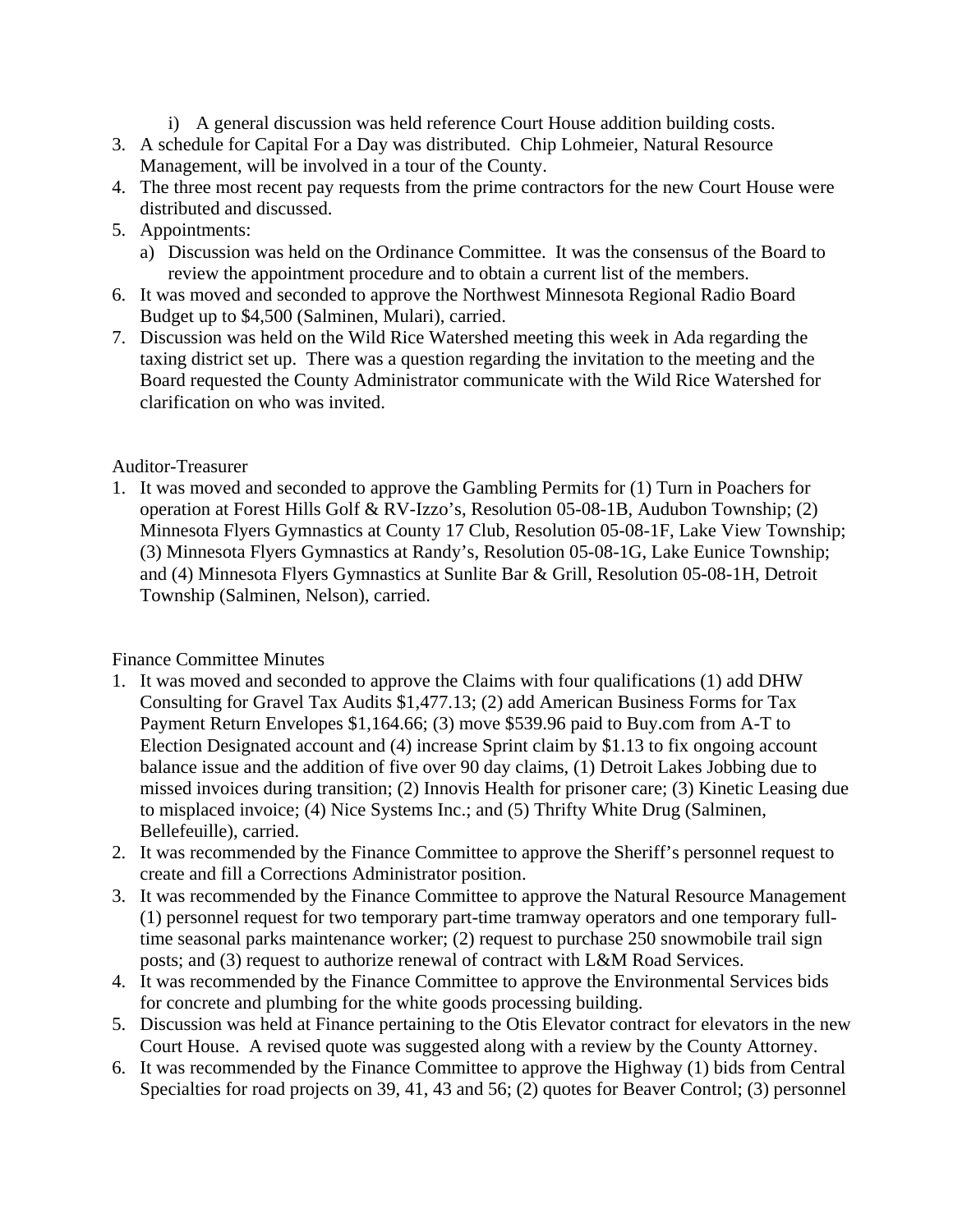- i) A general discussion was held reference Court House addition building costs.
- 3. A schedule for Capital For a Day was distributed. Chip Lohmeier, Natural Resource Management, will be involved in a tour of the County.
- 4. The three most recent pay requests from the prime contractors for the new Court House were distributed and discussed.
- 5. Appointments:
	- a) Discussion was held on the Ordinance Committee. It was the consensus of the Board to review the appointment procedure and to obtain a current list of the members.
- 6. It was moved and seconded to approve the Northwest Minnesota Regional Radio Board Budget up to \$4,500 (Salminen, Mulari), carried.
- 7. Discussion was held on the Wild Rice Watershed meeting this week in Ada regarding the taxing district set up. There was a question regarding the invitation to the meeting and the Board requested the County Administrator communicate with the Wild Rice Watershed for clarification on who was invited.

#### Auditor-Treasurer

1. It was moved and seconded to approve the Gambling Permits for (1) Turn in Poachers for operation at Forest Hills Golf & RV-Izzo's, Resolution 05-08-1B, Audubon Township; (2) Minnesota Flyers Gymnastics at County 17 Club, Resolution 05-08-1F, Lake View Township; (3) Minnesota Flyers Gymnastics at Randy's, Resolution 05-08-1G, Lake Eunice Township; and (4) Minnesota Flyers Gymnastics at Sunlite Bar & Grill, Resolution 05-08-1H, Detroit Township (Salminen, Nelson), carried.

## Finance Committee Minutes

- 1. It was moved and seconded to approve the Claims with four qualifications (1) add DHW Consulting for Gravel Tax Audits \$1,477.13; (2) add American Business Forms for Tax Payment Return Envelopes \$1,164.66; (3) move \$539.96 paid to Buy.com from A-T to Election Designated account and (4) increase Sprint claim by \$1.13 to fix ongoing account balance issue and the addition of five over 90 day claims, (1) Detroit Lakes Jobbing due to missed invoices during transition; (2) Innovis Health for prisoner care; (3) Kinetic Leasing due to misplaced invoice; (4) Nice Systems Inc.; and (5) Thrifty White Drug (Salminen, Bellefeuille), carried.
- 2. It was recommended by the Finance Committee to approve the Sheriff's personnel request to create and fill a Corrections Administrator position.
- 3. It was recommended by the Finance Committee to approve the Natural Resource Management (1) personnel request for two temporary part-time tramway operators and one temporary fulltime seasonal parks maintenance worker; (2) request to purchase 250 snowmobile trail sign posts; and (3) request to authorize renewal of contract with L&M Road Services.
- 4. It was recommended by the Finance Committee to approve the Environmental Services bids for concrete and plumbing for the white goods processing building.
- 5. Discussion was held at Finance pertaining to the Otis Elevator contract for elevators in the new Court House. A revised quote was suggested along with a review by the County Attorney.
- 6. It was recommended by the Finance Committee to approve the Highway (1) bids from Central Specialties for road projects on 39, 41, 43 and 56; (2) quotes for Beaver Control; (3) personnel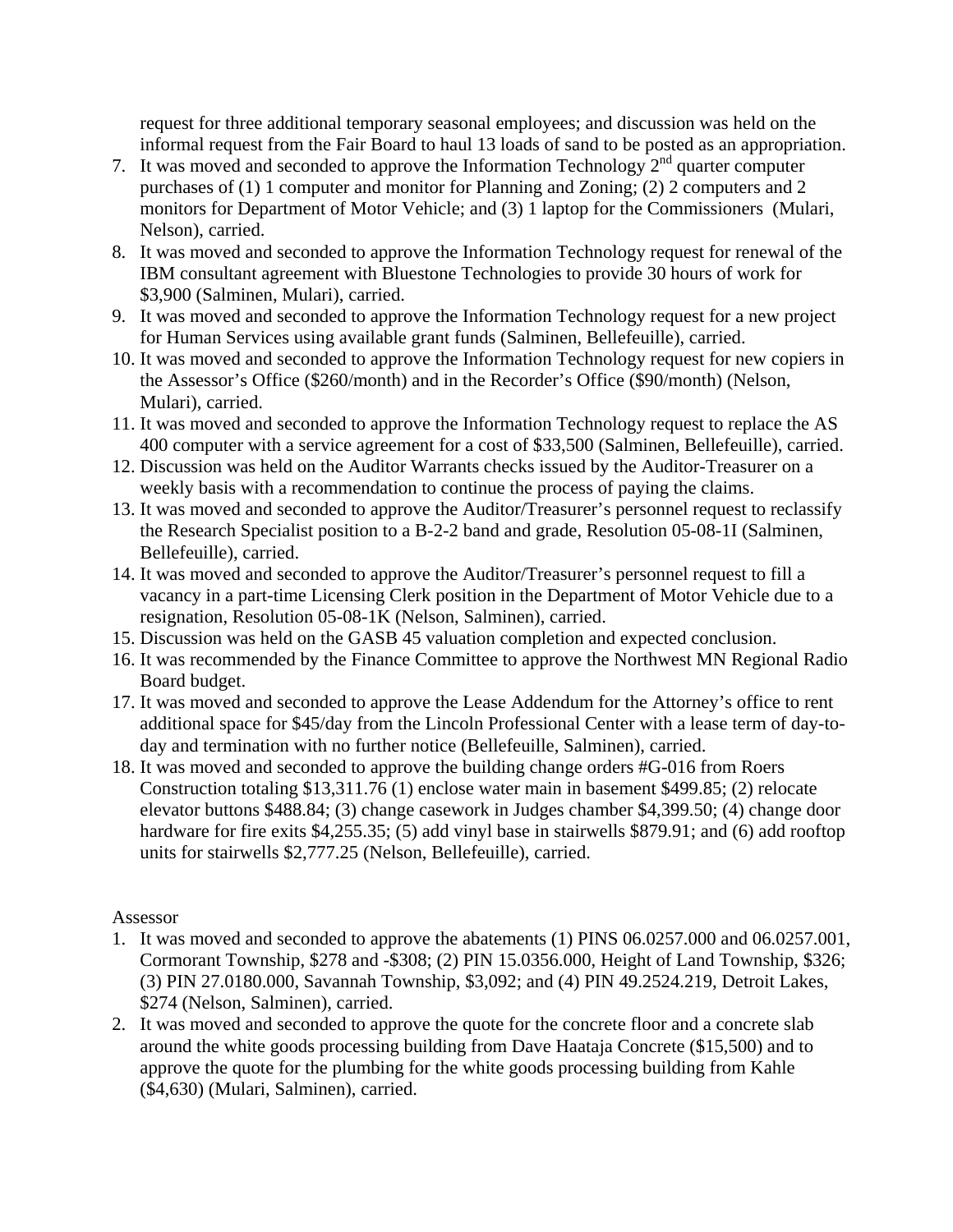request for three additional temporary seasonal employees; and discussion was held on the informal request from the Fair Board to haul 13 loads of sand to be posted as an appropriation.

- 7. It was moved and seconded to approve the Information Technology  $2<sup>nd</sup>$  quarter computer purchases of (1) 1 computer and monitor for Planning and Zoning; (2) 2 computers and 2 monitors for Department of Motor Vehicle; and (3) 1 laptop for the Commissioners (Mulari, Nelson), carried.
- 8. It was moved and seconded to approve the Information Technology request for renewal of the IBM consultant agreement with Bluestone Technologies to provide 30 hours of work for \$3,900 (Salminen, Mulari), carried.
- 9. It was moved and seconded to approve the Information Technology request for a new project for Human Services using available grant funds (Salminen, Bellefeuille), carried.
- 10. It was moved and seconded to approve the Information Technology request for new copiers in the Assessor's Office (\$260/month) and in the Recorder's Office (\$90/month) (Nelson, Mulari), carried.
- 11. It was moved and seconded to approve the Information Technology request to replace the AS 400 computer with a service agreement for a cost of \$33,500 (Salminen, Bellefeuille), carried.
- 12. Discussion was held on the Auditor Warrants checks issued by the Auditor-Treasurer on a weekly basis with a recommendation to continue the process of paying the claims.
- 13. It was moved and seconded to approve the Auditor/Treasurer's personnel request to reclassify the Research Specialist position to a B-2-2 band and grade, Resolution 05-08-1I (Salminen, Bellefeuille), carried.
- 14. It was moved and seconded to approve the Auditor/Treasurer's personnel request to fill a vacancy in a part-time Licensing Clerk position in the Department of Motor Vehicle due to a resignation, Resolution 05-08-1K (Nelson, Salminen), carried.
- 15. Discussion was held on the GASB 45 valuation completion and expected conclusion.
- 16. It was recommended by the Finance Committee to approve the Northwest MN Regional Radio Board budget.
- 17. It was moved and seconded to approve the Lease Addendum for the Attorney's office to rent additional space for \$45/day from the Lincoln Professional Center with a lease term of day-today and termination with no further notice (Bellefeuille, Salminen), carried.
- 18. It was moved and seconded to approve the building change orders #G-016 from Roers Construction totaling \$13,311.76 (1) enclose water main in basement \$499.85; (2) relocate elevator buttons \$488.84; (3) change casework in Judges chamber \$4,399.50; (4) change door hardware for fire exits \$4,255.35; (5) add vinyl base in stairwells \$879.91; and (6) add rooftop units for stairwells \$2,777.25 (Nelson, Bellefeuille), carried.

## Assessor

- 1. It was moved and seconded to approve the abatements (1) PINS 06.0257.000 and 06.0257.001, Cormorant Township, \$278 and -\$308; (2) PIN 15.0356.000, Height of Land Township, \$326; (3) PIN 27.0180.000, Savannah Township, \$3,092; and (4) PIN 49.2524.219, Detroit Lakes, \$274 (Nelson, Salminen), carried.
- 2. It was moved and seconded to approve the quote for the concrete floor and a concrete slab around the white goods processing building from Dave Haataja Concrete (\$15,500) and to approve the quote for the plumbing for the white goods processing building from Kahle (\$4,630) (Mulari, Salminen), carried.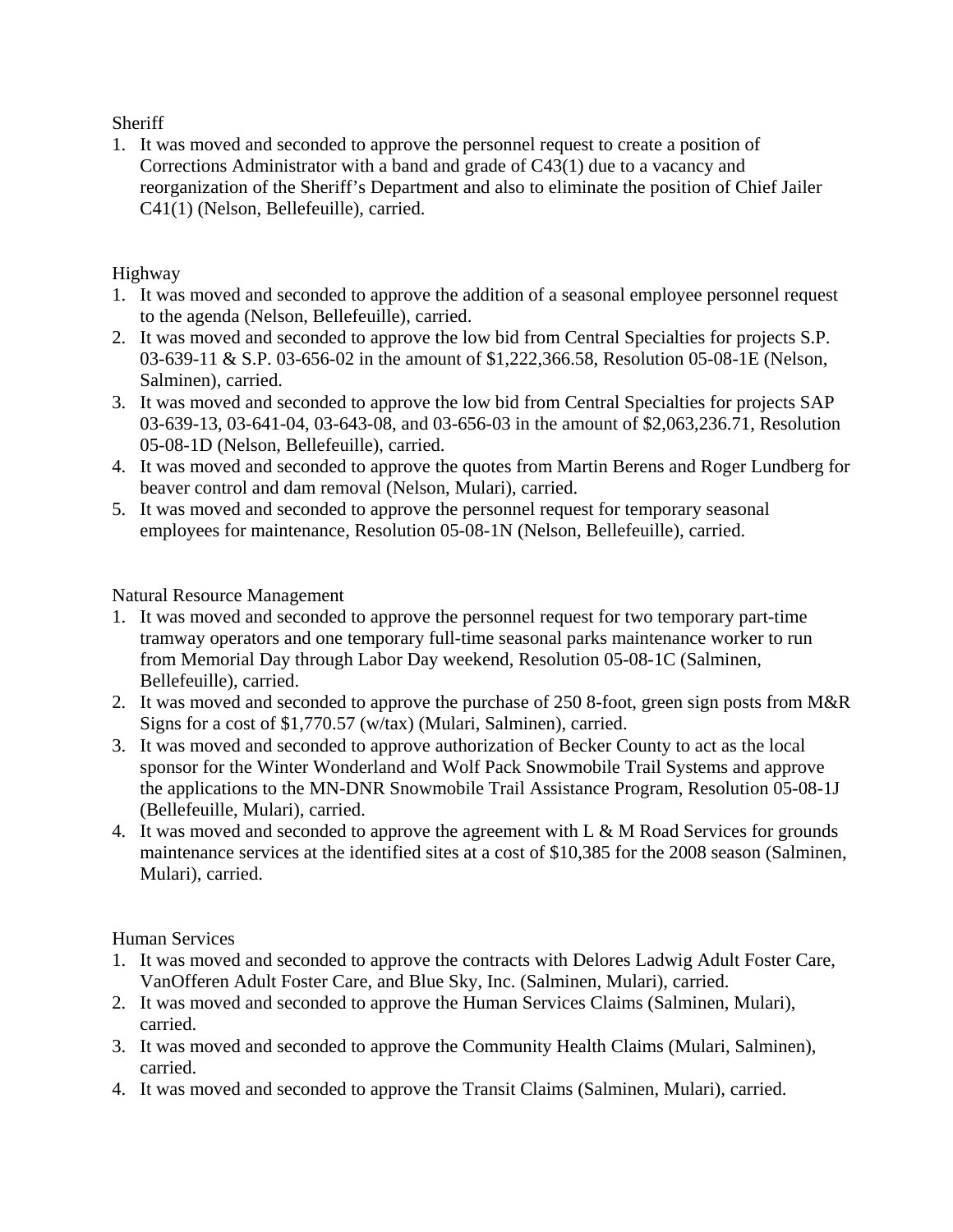**Sheriff** 

1. It was moved and seconded to approve the personnel request to create a position of Corrections Administrator with a band and grade of C43(1) due to a vacancy and reorganization of the Sheriff's Department and also to eliminate the position of Chief Jailer C41(1) (Nelson, Bellefeuille), carried.

# Highway

- 1. It was moved and seconded to approve the addition of a seasonal employee personnel request to the agenda (Nelson, Bellefeuille), carried.
- 2. It was moved and seconded to approve the low bid from Central Specialties for projects S.P. 03-639-11 & S.P. 03-656-02 in the amount of \$1,222,366.58, Resolution 05-08-1E (Nelson, Salminen), carried.
- 3. It was moved and seconded to approve the low bid from Central Specialties for projects SAP 03-639-13, 03-641-04, 03-643-08, and 03-656-03 in the amount of \$2,063,236.71, Resolution 05-08-1D (Nelson, Bellefeuille), carried.
- 4. It was moved and seconded to approve the quotes from Martin Berens and Roger Lundberg for beaver control and dam removal (Nelson, Mulari), carried.
- 5. It was moved and seconded to approve the personnel request for temporary seasonal employees for maintenance, Resolution 05-08-1N (Nelson, Bellefeuille), carried.

Natural Resource Management

- 1. It was moved and seconded to approve the personnel request for two temporary part-time tramway operators and one temporary full-time seasonal parks maintenance worker to run from Memorial Day through Labor Day weekend, Resolution 05-08-1C (Salminen, Bellefeuille), carried.
- 2. It was moved and seconded to approve the purchase of 250 8-foot, green sign posts from M&R Signs for a cost of \$1,770.57 (w/tax) (Mulari, Salminen), carried.
- 3. It was moved and seconded to approve authorization of Becker County to act as the local sponsor for the Winter Wonderland and Wolf Pack Snowmobile Trail Systems and approve the applications to the MN-DNR Snowmobile Trail Assistance Program, Resolution 05-08-1J (Bellefeuille, Mulari), carried.
- 4. It was moved and seconded to approve the agreement with L & M Road Services for grounds maintenance services at the identified sites at a cost of \$10,385 for the 2008 season (Salminen, Mulari), carried.

Human Services

- 1. It was moved and seconded to approve the contracts with Delores Ladwig Adult Foster Care, VanOfferen Adult Foster Care, and Blue Sky, Inc. (Salminen, Mulari), carried.
- 2. It was moved and seconded to approve the Human Services Claims (Salminen, Mulari), carried.
- 3. It was moved and seconded to approve the Community Health Claims (Mulari, Salminen), carried.
- 4. It was moved and seconded to approve the Transit Claims (Salminen, Mulari), carried.